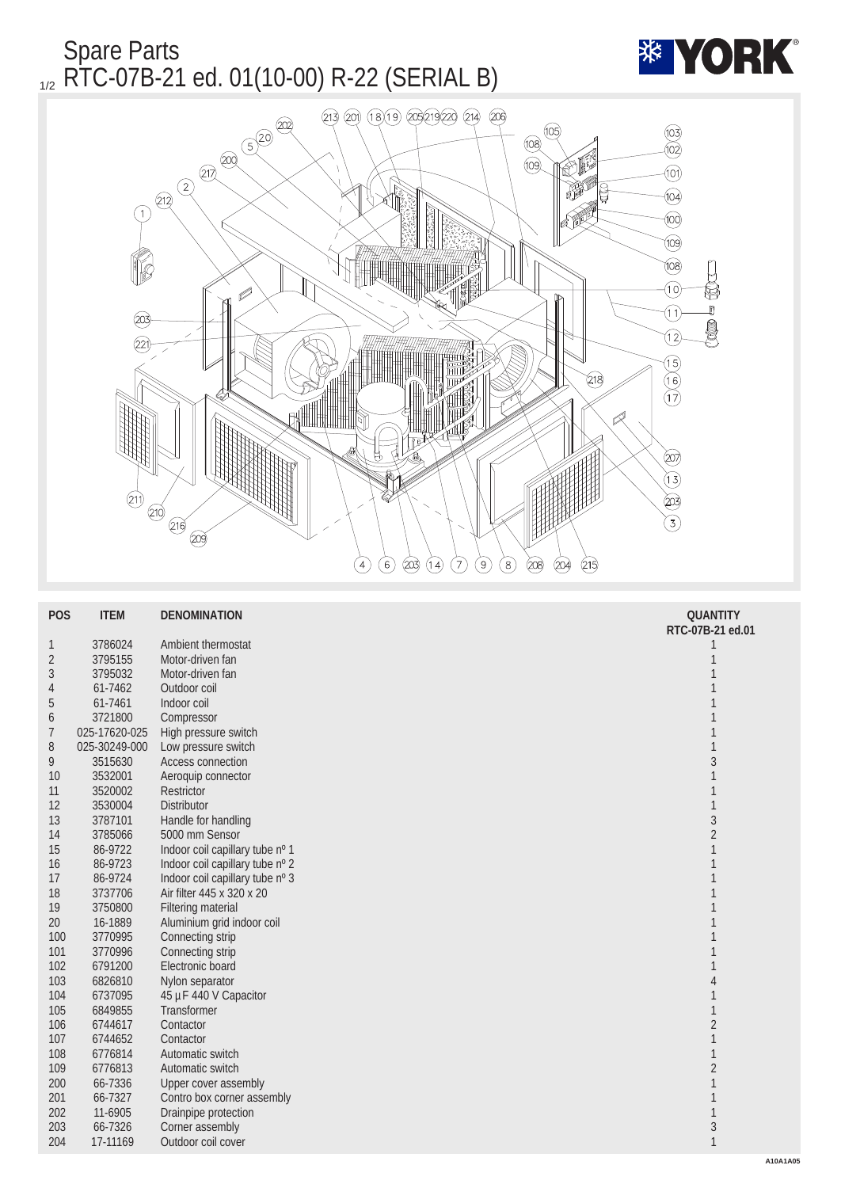

| <b>POS</b>     | <b>ITEM</b>   | <b>DENOMINATION</b>             | <b>QUANTITY</b>  |
|----------------|---------------|---------------------------------|------------------|
|                |               |                                 | RTC-07B-21 ed.01 |
| $\mathbf{1}$   | 3786024       | Ambient thermostat              |                  |
| $\sqrt{2}$     | 3795155       | Motor-driven fan                | 1                |
| 3              | 3795032       | Motor-driven fan                | 1                |
| $\overline{4}$ | 61-7462       | Outdoor coil                    |                  |
| $\overline{5}$ | 61-7461       | Indoor coil                     | 1                |
| 6              | 3721800       | Compressor                      | 1                |
| $\overline{7}$ | 025-17620-025 | High pressure switch            | 1                |
| 8              | 025-30249-000 | Low pressure switch             | $\mathbf{1}$     |
| 9              | 3515630       | Access connection               | 3                |
| 10             | 3532001       | Aeroquip connector              | $\mathbf{1}$     |
| 11             | 3520002       | Restrictor                      | $\mathbf{1}$     |
| 12             | 3530004       | Distributor                     | $\mathbf{1}$     |
| 13             | 3787101       | Handle for handling             | $\overline{3}$   |
| 14             | 3785066       | 5000 mm Sensor                  | $\boldsymbol{2}$ |
| 15             | 86-9722       | Indoor coil capillary tube nº 1 | 1                |
| 16             | 86-9723       | Indoor coil capillary tube nº 2 | 1                |
| 17             | 86-9724       | Indoor coil capillary tube nº 3 | 1                |
| 18             | 3737706       | Air filter 445 x 320 x 20       | 1                |
| 19             | 3750800       | <b>Filtering material</b>       |                  |
| 20             | 16-1889       | Aluminium grid indoor coil      |                  |
| 100            | 3770995       | Connecting strip                |                  |
| 101            | 3770996       | Connecting strip                |                  |
| 102            | 6791200       | Electronic board                |                  |
| 103            | 6826810       | Nylon separator                 | 4                |
| 104            | 6737095       | 45 µF 440 V Capacitor           | $\mathbf{1}$     |
| 105            | 6849855       | <b>Transformer</b>              | $\mathbf{1}$     |
| 106            | 6744617       | Contactor                       | $\boldsymbol{2}$ |
| 107            | 6744652       | Contactor                       | $\mathbf{1}$     |
| 108            | 6776814       | Automatic switch                | $\mathbf{1}$     |
| 109            | 6776813       | Automatic switch                | $\overline{c}$   |
| 200            | 66-7336       | <b>Upper cover assembly</b>     | $\mathbf{1}$     |
| 201            | 66-7327       | Contro box corner assembly      | $\mathbf{1}$     |
| 202            | 11-6905       | Drainpipe protection            | $\mathbf{1}$     |
| 203            | 66-7326       | Corner assembly                 | $\boldsymbol{3}$ |
| 204            | 17-11169      | Outdoor coil cover              | $\mathbf{1}$     |
|                |               |                                 |                  |